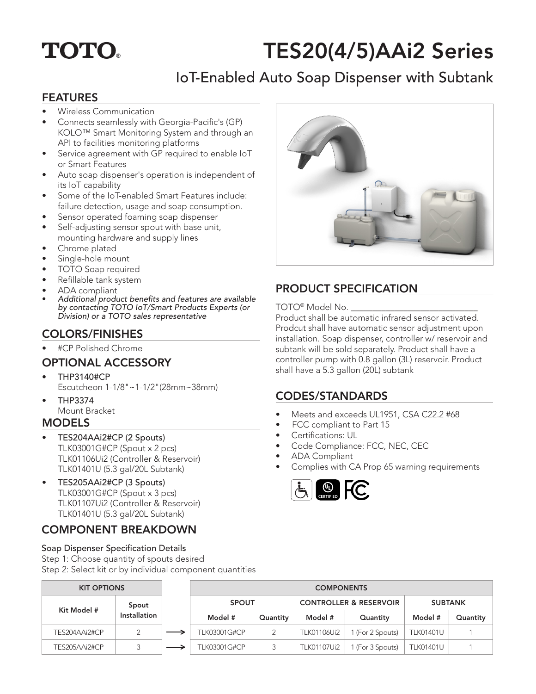

# TES20(4/5)AAi2 Series

# IoT-Enabled Auto Soap Dispenser with Subtank

### FEATURES

- Wireless Communication
- Connects seamlessly with Georgia-Pacific's (GP) KOLO™ Smart Monitoring System and through an API to facilities monitoring platforms
- Service agreement with GP required to enable IoT or Smart Features
- Auto soap dispenser's operation is independent of its IoT capability
- Some of the IoT-enabled Smart Features include: failure detection, usage and soap consumption.
- Sensor operated foaming soap dispenser
- Self-adjusting sensor spout with base unit, mounting hardware and supply lines
- Chrome plated
- Single-hole mount
- TOTO Soap required
- Refillable tank system
- ADA compliant
- Additional product benefits and features are available by contacting TOTO IoT/Smart Products Experts (or Division) or a TOTO sales representative

## COLORS/FINISHES

• #CP Polished Chrome

- THP3140#CP Escutcheon 1-1/8"~1-1/2"(28mm~38mm)
- THP3374 Mount Bracket

### MODELS

- TES204AAi2#CP (2 Spouts) TLK03001G#CP (Spout x 2 pcs) TLK01106Ui2 (Controller & Reservoir) TLK01401U (5.3 gal/20L Subtank)
- TES205AAi2#CP (3 Spouts) TLK03001G#CP (Spout x 3 pcs) TLK01107Ui2 (Controller & Reservoir) TLK01401U (5.3 gal/20L Subtank)

# COMPONENT BREAKDOWN

#### Soap Dispenser Specification Details

Step 1: Choose quantity of spouts desired Step 2: Select kit or by individual component quantities

| <b>KIT OPTIONS</b> |                       | <b>COMPONENTS</b>   |          |                                   |                |                  |          |  |
|--------------------|-----------------------|---------------------|----------|-----------------------------------|----------------|------------------|----------|--|
| Kit Model #        | Spout<br>Installation | <b>SPOUT</b>        |          | <b>CONTROLLER &amp; RESERVOIR</b> |                | <b>SUBTANK</b>   |          |  |
|                    |                       | Model #             | Quantity | Model #                           | Quantity       | Model #          | Quantity |  |
| TES204AAi2#CP      |                       | TLK03001G#CP        |          | <b>TLK01106Ui2</b>                | (For 2 Spouts) | <b>TLK01401U</b> |          |  |
| TES205AAi2#CP      |                       | <b>TLK03001G#CP</b> |          | <b>TLK01107Ui2</b>                | (For 3 Spouts) | <b>TLK01401U</b> |          |  |



# PRODUCT SPECIFICATION

#### TOTO<sup>®</sup> Model No.

Product shall be automatic infrared sensor activated. Prodcut shall have automatic sensor adjustment upon installation. Soap dispenser, controller w/ reservoir and subtank will be sold separately. Product shall have a controller pump with 0.8 gallon (3L) reservoir. Product **OPTIONAL ACCESSORY** Controller pump with 0.8 gallon (3L)<br>shall have a 5.3 gallon (20L) subtank

### CODES/STANDARDS

- Meets and exceeds UL1951, CSA C22.2 #68
- FCC compliant to Part 15
- Certifications: UL
- Code Compliance: FCC, NEC, CEC
- ADA Compliant
- Complies with CA Prop 65 warning requirements